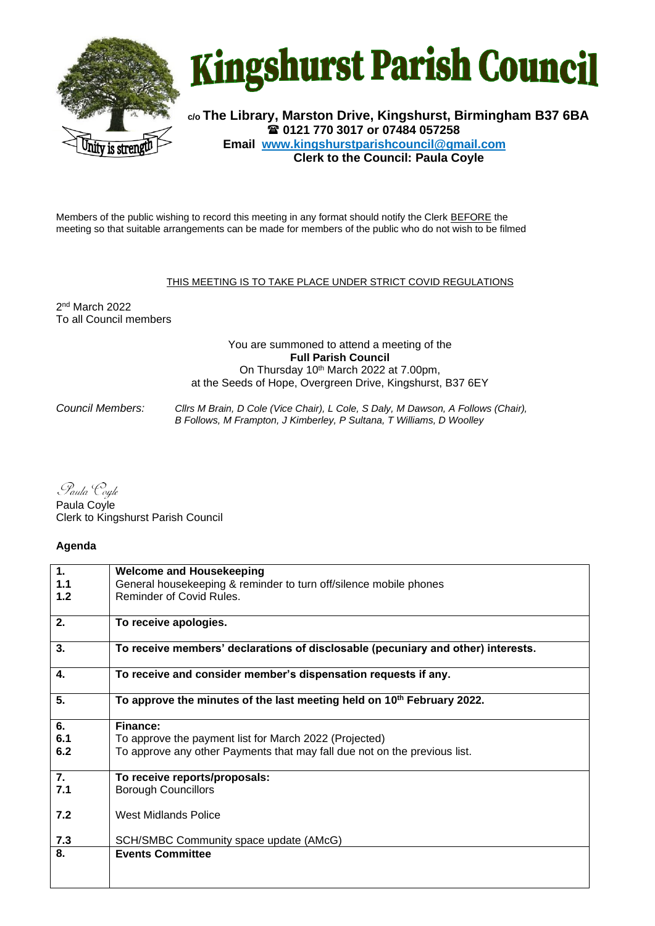



**c/o The Library, Marston Drive, Kingshurst, Birmingham B37 6BA 0121 770 3017 or 07484 057258 Email www.kingshurstparishcouncil@gmail.com Clerk to the Council: Paula Coyle**

Members of the public wishing to record this meeting in any format should notify the Clerk BEFORE the meeting so that suitable arrangements can be made for members of the public who do not wish to be filmed

## THIS MEETING IS TO TAKE PLACE UNDER STRICT COVID REGULATIONS

2 nd March 2022 To all Council members

## You are summoned to attend a meeting of the **Full Parish Council** On Thursday 10th March 2022 at 7.00pm, at the Seeds of Hope, Overgreen Drive, Kingshurst, B37 6EY

*Council Members: Cllrs M Brain, D Cole (Vice Chair), L Cole, S Daly, M Dawson, A Follows (Chair), B Follows, M Frampton, J Kimberley, P Sultana, T Williams, D Woolley*

Paula Coyle

Paula Coyle Clerk to Kingshurst Parish Council

## **Agenda**

| 1.  | <b>Welcome and Housekeeping</b>                                                    |
|-----|------------------------------------------------------------------------------------|
| 1.1 | General housekeeping & reminder to turn off/silence mobile phones                  |
| 1.2 | Reminder of Covid Rules.                                                           |
| 2.  | To receive apologies.                                                              |
| 3.  | To receive members' declarations of disclosable (pecuniary and other) interests.   |
| 4.  | To receive and consider member's dispensation requests if any.                     |
| 5.  | To approve the minutes of the last meeting held on 10 <sup>th</sup> February 2022. |
| 6.  | Finance:                                                                           |
| 6.1 | To approve the payment list for March 2022 (Projected)                             |
| 6.2 | To approve any other Payments that may fall due not on the previous list.          |
| 7.  | To receive reports/proposals:                                                      |
| 7.1 | <b>Borough Councillors</b>                                                         |
| 7.2 | <b>West Midlands Police</b>                                                        |
| 7.3 | SCH/SMBC Community space update (AMcG)                                             |
| 8.  | <b>Events Committee</b>                                                            |